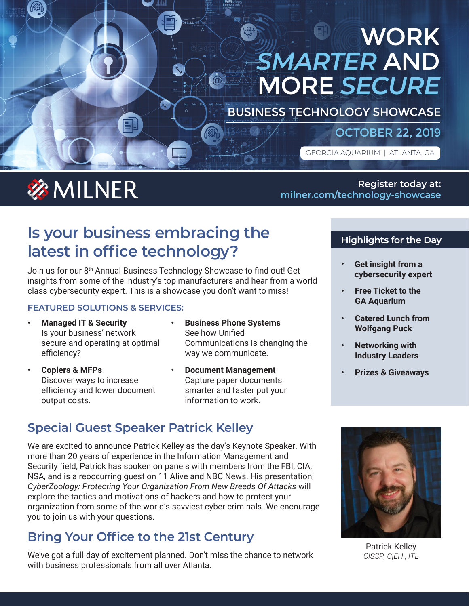# WORK *SMARTER* AND MORE *SECURE*

BUSINESS TECHNOLOGY SHOWCASE

### OCTOBER 22, 2019

GEORGIA AQUARIUM | ATLANTA, GA

# **参MILNER**

**Register today at: [milner.com/technology-showcase](http://www.milner.com/technology-showcase)**

## **Is your business embracing the latest in office technology?**

Join us for our 8<sup>th</sup> Annual Business Technology Showcase to find out! Get insights from some of the industry's top manufacturers and hear from a world class cybersecurity expert. This is a showcase you don't want to miss!

### **FEATURED SOLUTIONS & SERVICES:**

- **• Managed IT & Security** Is your business' network secure and operating at optimal efficiency?
- **• Copiers & MFPs** Discover ways to increase efficiency and lower document output costs.
- **• Business Phone Systems** See how Unified Communications is changing the way we communicate.
- **• Document Management** Capture paper documents smarter and faster put your information to work.

## **Special Guest Speaker Patrick Kelley**

We are excited to announce Patrick Kelley as the day's Keynote Speaker. With more than 20 years of experience in the Information Management and Security field, Patrick has spoken on panels with members from the FBI, CIA, NSA, and is a reoccurring guest on 11 Alive and NBC News. His presentation, *CyberZoology: Protecting Your Organization From New Breeds Of Attacks* will explore the tactics and motivations of hackers and how to protect your organization from some of the world's savviest cyber criminals. We encourage you to join us with your questions.

## **Bring Your Office to the 21st Century**

We've got a full day of excitement planned. Don't miss the chance to network with business professionals from all over Atlanta.

### **Highlights for the Day**

- **• Get insight from a cybersecurity expert**
- **• Free Ticket to the GA Aquarium**
- **• Catered Lunch from Wolfgang Puck**
- **• Networking with Industry Leaders**
- **• Prizes & Giveaways**



Patrick Kelley *CISSP, C|EH , ITL*